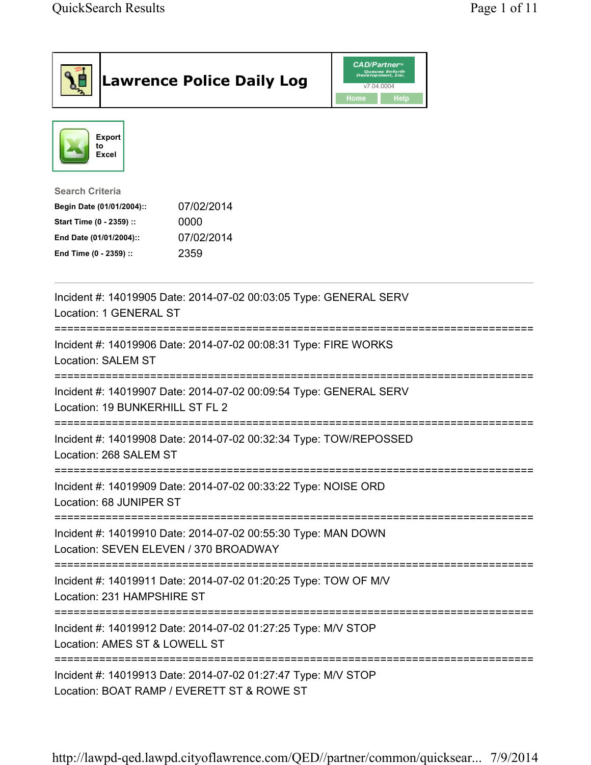|                                                                                                                                         | <b>Lawrence Police Daily Log</b>                                                                            | <b>CAD/Partner</b> <sup>*</sup><br>Queues Enforth<br>Development, Inc.<br>v7.04.0004<br>Home<br>Help |  |
|-----------------------------------------------------------------------------------------------------------------------------------------|-------------------------------------------------------------------------------------------------------------|------------------------------------------------------------------------------------------------------|--|
| <b>Export</b><br>to<br>Excel                                                                                                            |                                                                                                             |                                                                                                      |  |
| <b>Search Criteria</b><br>Begin Date (01/01/2004)::<br>Start Time (0 - 2359) ::<br>End Date (01/01/2004)::<br>End Time (0 - 2359) ::    | 07/02/2014<br>0000<br>07/02/2014<br>2359                                                                    |                                                                                                      |  |
| Location: 1 GENERAL ST                                                                                                                  | Incident #: 14019905 Date: 2014-07-02 00:03:05 Type: GENERAL SERV                                           |                                                                                                      |  |
| <b>Location: SALEM ST</b>                                                                                                               | Incident #: 14019906 Date: 2014-07-02 00:08:31 Type: FIRE WORKS                                             |                                                                                                      |  |
| Location: 19 BUNKERHILL ST FL 2                                                                                                         | Incident #: 14019907 Date: 2014-07-02 00:09:54 Type: GENERAL SERV                                           |                                                                                                      |  |
| Location: 268 SALEM ST                                                                                                                  | Incident #: 14019908 Date: 2014-07-02 00:32:34 Type: TOW/REPOSSED                                           |                                                                                                      |  |
| Location: 68 JUNIPER ST                                                                                                                 | Incident #: 14019909 Date: 2014-07-02 00:33:22 Type: NOISE ORD                                              |                                                                                                      |  |
| Location: SEVEN ELEVEN / 370 BROADWAY                                                                                                   | Incident #: 14019910 Date: 2014-07-02 00:55:30 Type: MAN DOWN                                               |                                                                                                      |  |
| Location: 231 HAMPSHIRE ST                                                                                                              | Incident #: 14019911 Date: 2014-07-02 01:20:25 Type: TOW OF M/V                                             |                                                                                                      |  |
| =====================================<br>Incident #: 14019912 Date: 2014-07-02 01:27:25 Type: M/V STOP<br>Location: AMES ST & LOWELL ST |                                                                                                             |                                                                                                      |  |
|                                                                                                                                         | Incident #: 14019913 Date: 2014-07-02 01:27:47 Type: M/V STOP<br>Location: BOAT RAMP / EVERETT ST & ROWE ST |                                                                                                      |  |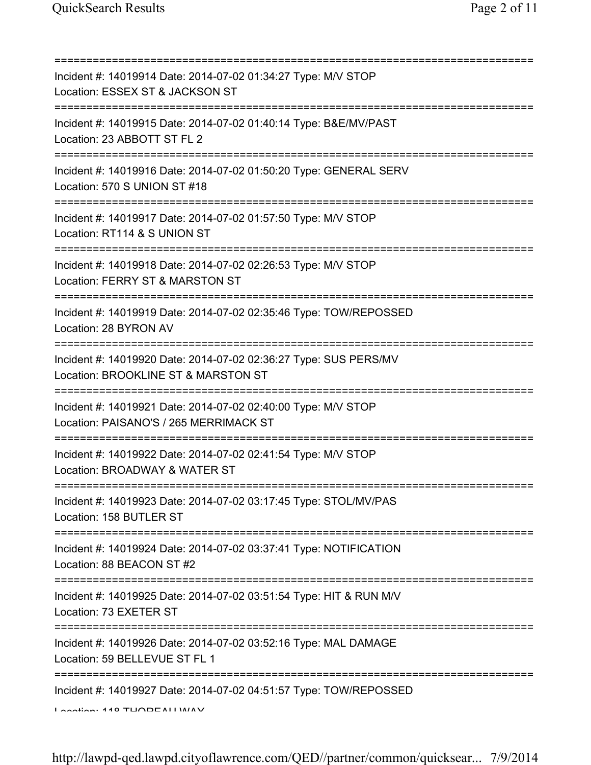| ============================                                                                                                                                 |
|--------------------------------------------------------------------------------------------------------------------------------------------------------------|
| Incident #: 14019914 Date: 2014-07-02 01:34:27 Type: M/V STOP<br>Location: ESSEX ST & JACKSON ST                                                             |
| Incident #: 14019915 Date: 2014-07-02 01:40:14 Type: B&E/MV/PAST<br>Location: 23 ABBOTT ST FL 2                                                              |
| Incident #: 14019916 Date: 2014-07-02 01:50:20 Type: GENERAL SERV<br>Location: 570 S UNION ST #18                                                            |
| Incident #: 14019917 Date: 2014-07-02 01:57:50 Type: M/V STOP<br>Location: RT114 & S UNION ST                                                                |
| Incident #: 14019918 Date: 2014-07-02 02:26:53 Type: M/V STOP<br>Location: FERRY ST & MARSTON ST                                                             |
| :====================<br>Incident #: 14019919 Date: 2014-07-02 02:35:46 Type: TOW/REPOSSED<br>Location: 28 BYRON AV<br>===================================== |
| Incident #: 14019920 Date: 2014-07-02 02:36:27 Type: SUS PERS/MV<br>Location: BROOKLINE ST & MARSTON ST<br>====================================              |
| Incident #: 14019921 Date: 2014-07-02 02:40:00 Type: M/V STOP<br>Location: PAISANO'S / 265 MERRIMACK ST                                                      |
| Incident #: 14019922 Date: 2014-07-02 02:41:54 Type: M/V STOP<br>Location: BROADWAY & WATER ST                                                               |
| Incident #: 14019923 Date: 2014-07-02 03:17:45 Type: STOL/MV/PAS<br>Location: 158 BUTLER ST                                                                  |
| Incident #: 14019924 Date: 2014-07-02 03:37:41 Type: NOTIFICATION<br>Location: 88 BEACON ST #2                                                               |
| Incident #: 14019925 Date: 2014-07-02 03:51:54 Type: HIT & RUN M/V<br>Location: 73 EXETER ST                                                                 |
| Incident #: 14019926 Date: 2014-07-02 03:52:16 Type: MAL DAMAGE<br>Location: 59 BELLEVUE ST FL 1                                                             |
| =====================================<br>Incident #: 14019927 Date: 2014-07-02 04:51:57 Type: TOW/REPOSSED<br>$I$ Andian: 440 TUODE ALLIMAV                  |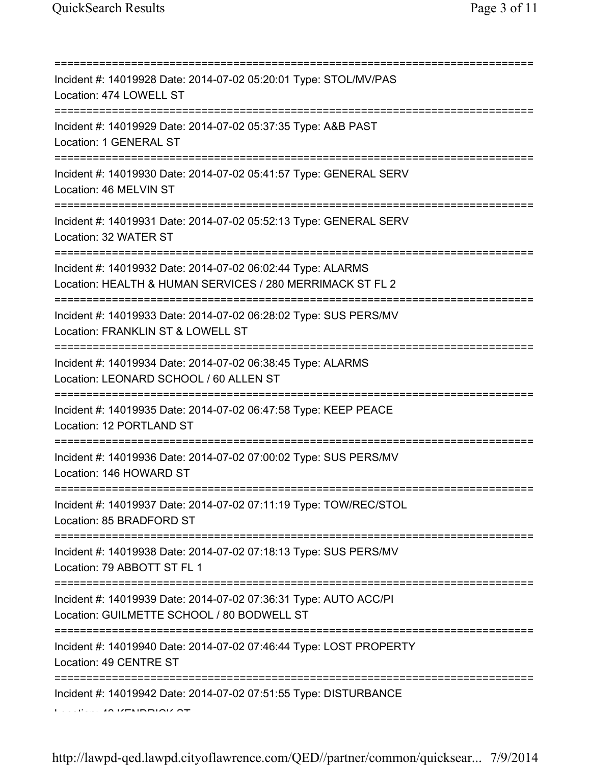| Incident #: 14019928 Date: 2014-07-02 05:20:01 Type: STOL/MV/PAS<br>Location: 474 LOWELL ST<br>===================================== |
|--------------------------------------------------------------------------------------------------------------------------------------|
| Incident #: 14019929 Date: 2014-07-02 05:37:35 Type: A&B PAST<br>Location: 1 GENERAL ST<br>================================          |
| Incident #: 14019930 Date: 2014-07-02 05:41:57 Type: GENERAL SERV<br>Location: 46 MELVIN ST                                          |
| Incident #: 14019931 Date: 2014-07-02 05:52:13 Type: GENERAL SERV<br>Location: 32 WATER ST                                           |
| Incident #: 14019932 Date: 2014-07-02 06:02:44 Type: ALARMS<br>Location: HEALTH & HUMAN SERVICES / 280 MERRIMACK ST FL 2             |
| Incident #: 14019933 Date: 2014-07-02 06:28:02 Type: SUS PERS/MV<br>Location: FRANKLIN ST & LOWELL ST                                |
| Incident #: 14019934 Date: 2014-07-02 06:38:45 Type: ALARMS<br>Location: LEONARD SCHOOL / 60 ALLEN ST                                |
| ===========================<br>Incident #: 14019935 Date: 2014-07-02 06:47:58 Type: KEEP PEACE<br>Location: 12 PORTLAND ST           |
| Incident #: 14019936 Date: 2014-07-02 07:00:02 Type: SUS PERS/MV<br>Location: 146 HOWARD ST                                          |
| Incident #: 14019937 Date: 2014-07-02 07:11:19 Type: TOW/REC/STOL<br>Location: 85 BRADFORD ST                                        |
| Incident #: 14019938 Date: 2014-07-02 07:18:13 Type: SUS PERS/MV<br>Location: 79 ABBOTT ST FL 1                                      |
| Incident #: 14019939 Date: 2014-07-02 07:36:31 Type: AUTO ACC/PI<br>Location: GUILMETTE SCHOOL / 80 BODWELL ST                       |
| Incident #: 14019940 Date: 2014-07-02 07:46:44 Type: LOST PROPERTY<br>Location: 49 CENTRE ST                                         |
| Incident #: 14019942 Date: 2014-07-02 07:51:55 Type: DISTURBANCE                                                                     |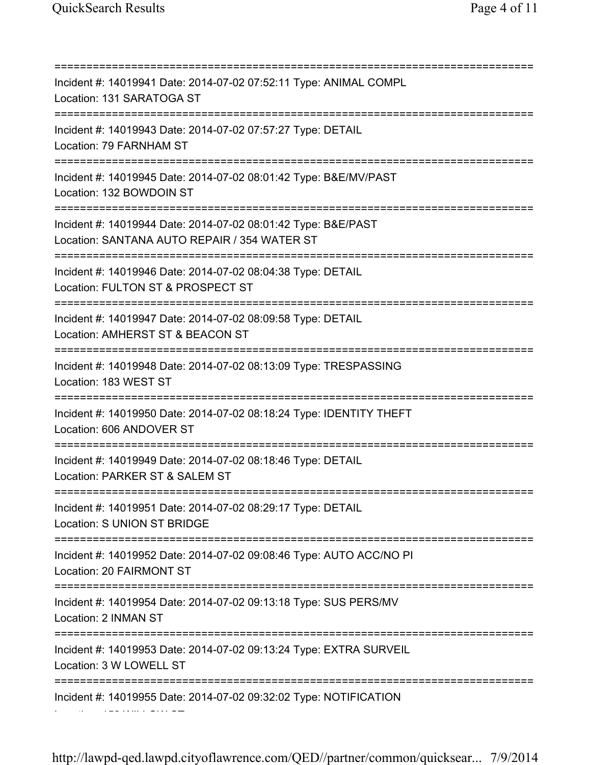=========================================================================== Incident #: 14019941 Date: 2014-07-02 07:52:11 Type: ANIMAL COMPL Location: 131 SARATOGA ST =========================================================================== Incident #: 14019943 Date: 2014-07-02 07:57:27 Type: DETAIL Location: 79 FARNHAM ST =========================================================================== Incident #: 14019945 Date: 2014-07-02 08:01:42 Type: B&E/MV/PAST Location: 132 BOWDOIN ST =========================================================================== Incident #: 14019944 Date: 2014-07-02 08:01:42 Type: B&E/PAST Location: SANTANA AUTO REPAIR / 354 WATER ST =========================================================================== Incident #: 14019946 Date: 2014-07-02 08:04:38 Type: DETAIL Location: FULTON ST & PROSPECT ST =========================================================================== Incident #: 14019947 Date: 2014-07-02 08:09:58 Type: DETAIL Location: AMHERST ST & BEACON ST =========================================================================== Incident #: 14019948 Date: 2014-07-02 08:13:09 Type: TRESPASSING Location: 183 WEST ST =========================================================================== Incident #: 14019950 Date: 2014-07-02 08:18:24 Type: IDENTITY THEFT Location: 606 ANDOVER ST =========================================================================== Incident #: 14019949 Date: 2014-07-02 08:18:46 Type: DETAIL Location: PARKER ST & SALEM ST =========================================================================== Incident #: 14019951 Date: 2014-07-02 08:29:17 Type: DETAIL Location: S UNION ST BRIDGE =========================================================================== Incident #: 14019952 Date: 2014-07-02 09:08:46 Type: AUTO ACC/NO PI Location: 20 FAIRMONT ST =========================================================================== Incident #: 14019954 Date: 2014-07-02 09:13:18 Type: SUS PERS/MV Location: 2 INMAN ST =========================================================================== Incident #: 14019953 Date: 2014-07-02 09:13:24 Type: EXTRA SURVEIL Location: 3 W LOWELL ST =========================================================================== Incident #: 14019955 Date: 2014-07-02 09:32:02 Type: NOTIFICATION Location: 156 WILLOW ST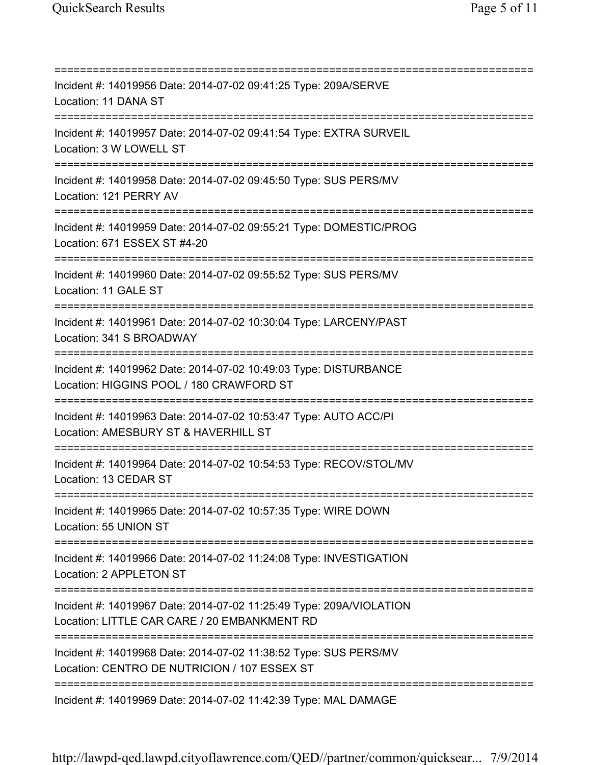=========================================================================== Incident #: 14019956 Date: 2014-07-02 09:41:25 Type: 209A/SERVE Location: 11 DANA ST =========================================================================== Incident #: 14019957 Date: 2014-07-02 09:41:54 Type: EXTRA SURVEIL Location: 3 W LOWELL ST =========================================================================== Incident #: 14019958 Date: 2014-07-02 09:45:50 Type: SUS PERS/MV Location: 121 PERRY AV =========================================================================== Incident #: 14019959 Date: 2014-07-02 09:55:21 Type: DOMESTIC/PROG Location: 671 ESSEX ST #4-20 =========================================================================== Incident #: 14019960 Date: 2014-07-02 09:55:52 Type: SUS PERS/MV Location: 11 GALE ST =========================================================================== Incident #: 14019961 Date: 2014-07-02 10:30:04 Type: LARCENY/PAST Location: 341 S BROADWAY =========================================================================== Incident #: 14019962 Date: 2014-07-02 10:49:03 Type: DISTURBANCE Location: HIGGINS POOL / 180 CRAWFORD ST =========================================================================== Incident #: 14019963 Date: 2014-07-02 10:53:47 Type: AUTO ACC/PI Location: AMESBURY ST & HAVERHILL ST =========================================================================== Incident #: 14019964 Date: 2014-07-02 10:54:53 Type: RECOV/STOL/MV Location: 13 CEDAR ST =========================================================================== Incident #: 14019965 Date: 2014-07-02 10:57:35 Type: WIRE DOWN Location: 55 UNION ST =========================================================================== Incident #: 14019966 Date: 2014-07-02 11:24:08 Type: INVESTIGATION Location: 2 APPLETON ST =========================================================================== Incident #: 14019967 Date: 2014-07-02 11:25:49 Type: 209A/VIOLATION Location: LITTLE CAR CARE / 20 EMBANKMENT RD =========================================================================== Incident #: 14019968 Date: 2014-07-02 11:38:52 Type: SUS PERS/MV Location: CENTRO DE NUTRICION / 107 ESSEX ST =========================================================================== Incident #: 14019969 Date: 2014-07-02 11:42:39 Type: MAL DAMAGE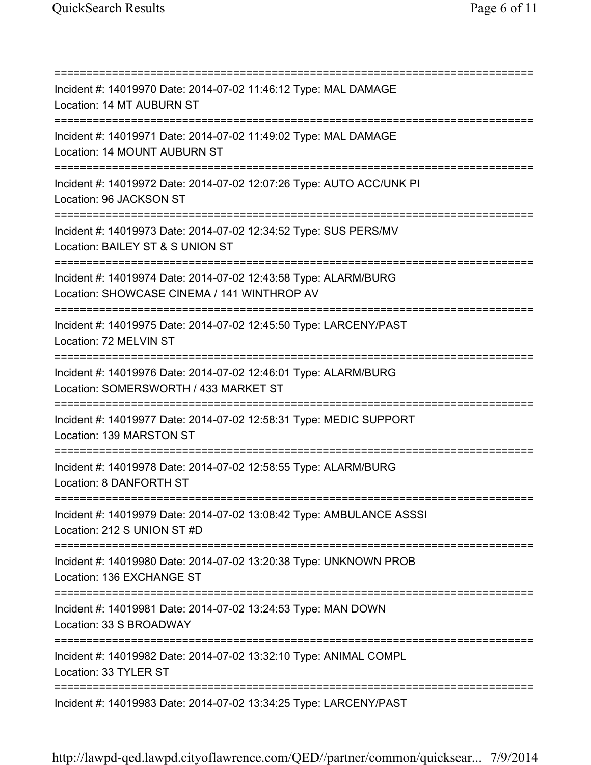=========================================================================== Incident #: 14019970 Date: 2014-07-02 11:46:12 Type: MAL DAMAGE Location: 14 MT AUBURN ST =========================================================================== Incident #: 14019971 Date: 2014-07-02 11:49:02 Type: MAL DAMAGE Location: 14 MOUNT AUBURN ST =========================================================================== Incident #: 14019972 Date: 2014-07-02 12:07:26 Type: AUTO ACC/UNK PI Location: 96 JACKSON ST =========================================================================== Incident #: 14019973 Date: 2014-07-02 12:34:52 Type: SUS PERS/MV Location: BAILEY ST & S UNION ST =========================================================================== Incident #: 14019974 Date: 2014-07-02 12:43:58 Type: ALARM/BURG Location: SHOWCASE CINEMA / 141 WINTHROP AV =========================================================================== Incident #: 14019975 Date: 2014-07-02 12:45:50 Type: LARCENY/PAST Location: 72 MELVIN ST =========================================================================== Incident #: 14019976 Date: 2014-07-02 12:46:01 Type: ALARM/BURG Location: SOMERSWORTH / 433 MARKET ST =========================================================================== Incident #: 14019977 Date: 2014-07-02 12:58:31 Type: MEDIC SUPPORT Location: 139 MARSTON ST =========================================================================== Incident #: 14019978 Date: 2014-07-02 12:58:55 Type: ALARM/BURG Location: 8 DANFORTH ST =========================================================================== Incident #: 14019979 Date: 2014-07-02 13:08:42 Type: AMBULANCE ASSSI Location: 212 S UNION ST #D =========================================================================== Incident #: 14019980 Date: 2014-07-02 13:20:38 Type: UNKNOWN PROB Location: 136 EXCHANGE ST =========================================================================== Incident #: 14019981 Date: 2014-07-02 13:24:53 Type: MAN DOWN Location: 33 S BROADWAY =========================================================================== Incident #: 14019982 Date: 2014-07-02 13:32:10 Type: ANIMAL COMPL Location: 33 TYLER ST =========================================================================== Incident #: 14019983 Date: 2014-07-02 13:34:25 Type: LARCENY/PAST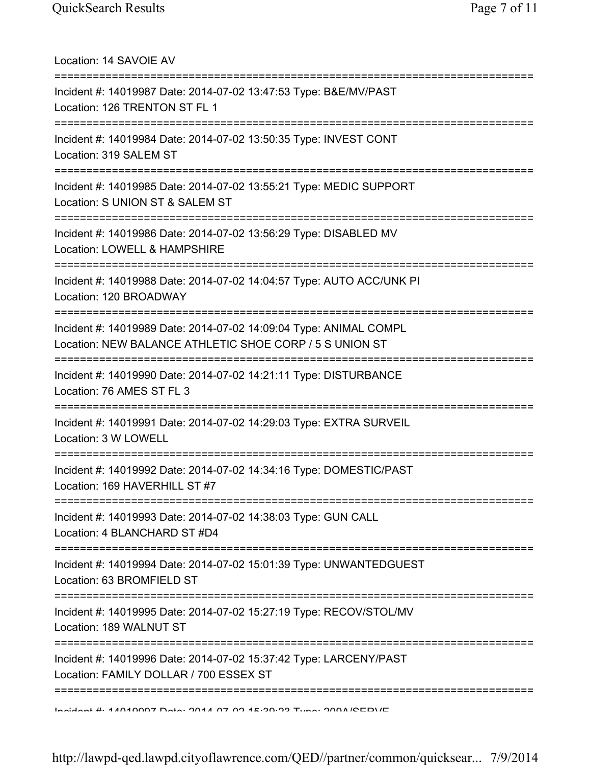Location: 14 SAVOIE AV =========================================================================== Incident #: 14019987 Date: 2014-07-02 13:47:53 Type: B&E/MV/PAST Location: 126 TRENTON ST FL 1 =========================================================================== Incident #: 14019984 Date: 2014-07-02 13:50:35 Type: INVEST CONT Location: 319 SALEM ST =========================================================================== Incident #: 14019985 Date: 2014-07-02 13:55:21 Type: MEDIC SUPPORT Location: S UNION ST & SALEM ST =========================================================================== Incident #: 14019986 Date: 2014-07-02 13:56:29 Type: DISABLED MV Location: LOWELL & HAMPSHIRE =========================================================================== Incident #: 14019988 Date: 2014-07-02 14:04:57 Type: AUTO ACC/UNK PI Location: 120 BROADWAY =========================================================================== Incident #: 14019989 Date: 2014-07-02 14:09:04 Type: ANIMAL COMPL Location: NEW BALANCE ATHLETIC SHOE CORP / 5 S UNION ST =========================================================================== Incident #: 14019990 Date: 2014-07-02 14:21:11 Type: DISTURBANCE Location: 76 AMES ST FL 3 =========================================================================== Incident #: 14019991 Date: 2014-07-02 14:29:03 Type: EXTRA SURVEIL Location: 3 W LOWELL =========================================================================== Incident #: 14019992 Date: 2014-07-02 14:34:16 Type: DOMESTIC/PAST Location: 169 HAVERHILL ST #7 =========================================================================== Incident #: 14019993 Date: 2014-07-02 14:38:03 Type: GUN CALL Location: 4 BLANCHARD ST #D4 =========================================================================== Incident #: 14019994 Date: 2014-07-02 15:01:39 Type: UNWANTEDGUEST Location: 63 BROMFIELD ST =========================================================================== Incident #: 14019995 Date: 2014-07-02 15:27:19 Type: RECOV/STOL/MV Location: 189 WALNUT ST =========================================================================== Incident #: 14019996 Date: 2014-07-02 15:37:42 Type: LARCENY/PAST Location: FAMILY DOLLAR / 700 ESSEX ST =========================================================================== Incident #: 14019997 Date: 2014 07 02 15:39:23 Type: 209A/SERVE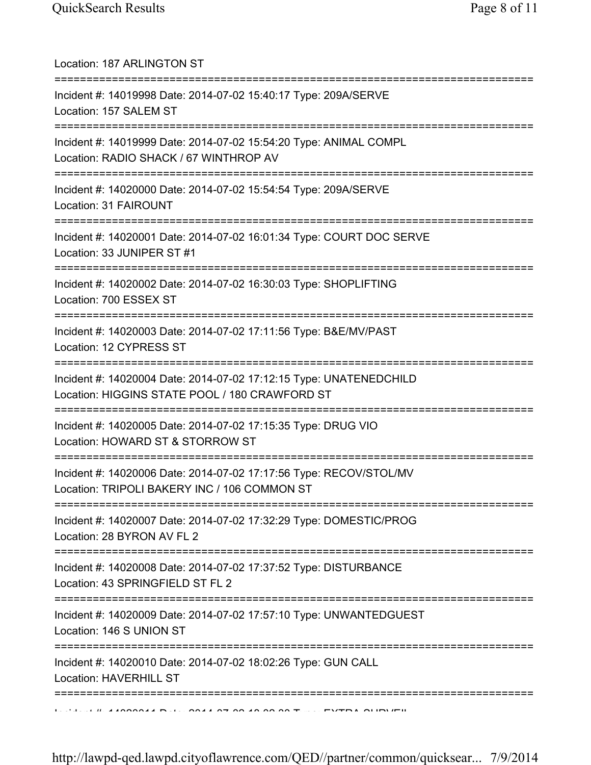| Location: 187 ARLINGTON ST                                                                                                                          |
|-----------------------------------------------------------------------------------------------------------------------------------------------------|
| Incident #: 14019998 Date: 2014-07-02 15:40:17 Type: 209A/SERVE<br>Location: 157 SALEM ST                                                           |
| Incident #: 14019999 Date: 2014-07-02 15:54:20 Type: ANIMAL COMPL<br>Location: RADIO SHACK / 67 WINTHROP AV<br>==================================== |
| Incident #: 14020000 Date: 2014-07-02 15:54:54 Type: 209A/SERVE<br>Location: 31 FAIROUNT                                                            |
| Incident #: 14020001 Date: 2014-07-02 16:01:34 Type: COURT DOC SERVE<br>Location: 33 JUNIPER ST #1                                                  |
| Incident #: 14020002 Date: 2014-07-02 16:30:03 Type: SHOPLIFTING<br>Location: 700 ESSEX ST                                                          |
| ==========================<br>Incident #: 14020003 Date: 2014-07-02 17:11:56 Type: B&E/MV/PAST<br>Location: 12 CYPRESS ST                           |
| Incident #: 14020004 Date: 2014-07-02 17:12:15 Type: UNATENEDCHILD<br>Location: HIGGINS STATE POOL / 180 CRAWFORD ST                                |
| Incident #: 14020005 Date: 2014-07-02 17:15:35 Type: DRUG VIO<br>Location: HOWARD ST & STORROW ST                                                   |
| Incident #: 14020006 Date: 2014-07-02 17:17:56 Type: RECOV/STOL/MV<br>Location: TRIPOLI BAKERY INC / 106 COMMON ST                                  |
| Incident #: 14020007 Date: 2014-07-02 17:32:29 Type: DOMESTIC/PROG<br>Location: 28 BYRON AV FL 2                                                    |
| Incident #: 14020008 Date: 2014-07-02 17:37:52 Type: DISTURBANCE<br>Location: 43 SPRINGFIELD ST FL 2                                                |
| :===================<br>Incident #: 14020009 Date: 2014-07-02 17:57:10 Type: UNWANTEDGUEST<br>Location: 146 S UNION ST                              |
| Incident #: 14020010 Date: 2014-07-02 18:02:26 Type: GUN CALL<br>Location: HAVERHILL ST                                                             |
|                                                                                                                                                     |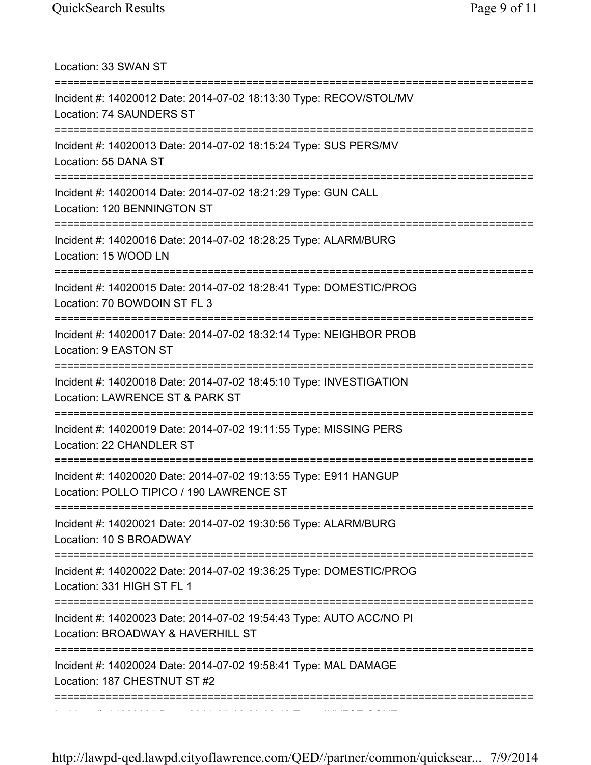Location: 33 SWAN ST =========================================================================== Incident #: 14020012 Date: 2014-07-02 18:13:30 Type: RECOV/STOL/MV Location: 74 SAUNDERS ST =========================================================================== Incident #: 14020013 Date: 2014-07-02 18:15:24 Type: SUS PERS/MV Location: 55 DANA ST =========================================================================== Incident #: 14020014 Date: 2014-07-02 18:21:29 Type: GUN CALL Location: 120 BENNINGTON ST =========================================================================== Incident #: 14020016 Date: 2014-07-02 18:28:25 Type: ALARM/BURG Location: 15 WOOD LN =========================================================================== Incident #: 14020015 Date: 2014-07-02 18:28:41 Type: DOMESTIC/PROG Location: 70 BOWDOIN ST FL 3 =========================================================================== Incident #: 14020017 Date: 2014-07-02 18:32:14 Type: NEIGHBOR PROB Location: 9 EASTON ST =========================================================================== Incident #: 14020018 Date: 2014-07-02 18:45:10 Type: INVESTIGATION Location: LAWRENCE ST & PARK ST =========================================================================== Incident #: 14020019 Date: 2014-07-02 19:11:55 Type: MISSING PERS Location: 22 CHANDLER ST =========================================================================== Incident #: 14020020 Date: 2014-07-02 19:13:55 Type: E911 HANGUP Location: POLLO TIPICO / 190 LAWRENCE ST =========================================================================== Incident #: 14020021 Date: 2014-07-02 19:30:56 Type: ALARM/BURG Location: 10 S BROADWAY =========================================================================== Incident #: 14020022 Date: 2014-07-02 19:36:25 Type: DOMESTIC/PROG Location: 331 HIGH ST FL 1 =========================================================================== Incident #: 14020023 Date: 2014-07-02 19:54:43 Type: AUTO ACC/NO PI Location: BROADWAY & HAVERHILL ST =========================================================================== Incident #: 14020024 Date: 2014-07-02 19:58:41 Type: MAL DAMAGE Location: 187 CHESTNUT ST #2 ===========================================================================

http://lawpd-qed.lawpd.cityoflawrence.com/QED//partner/common/quicksear... 7/9/2014

Incident #: 14020025 Date: 2014 07 02 20:03:42 Type: INVEST CONT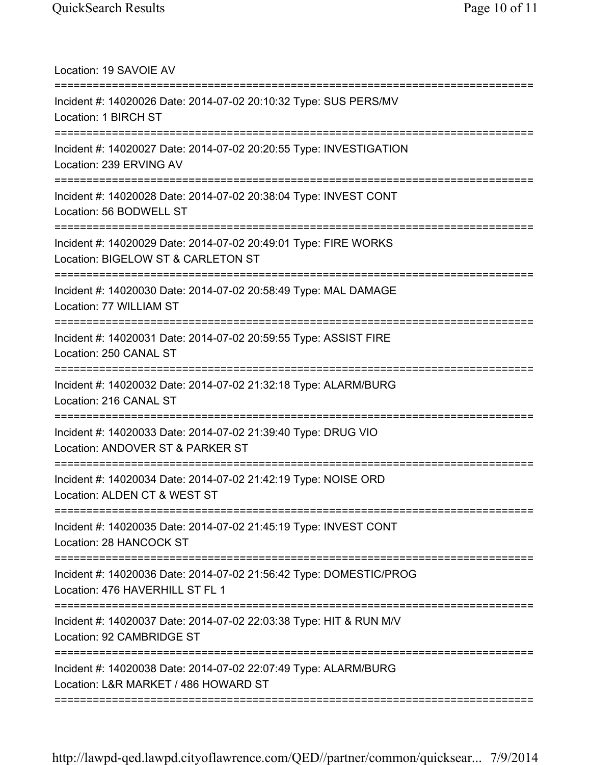Location: 19 SAVOIE AV =========================================================================== Incident #: 14020026 Date: 2014-07-02 20:10:32 Type: SUS PERS/MV Location: 1 BIRCH ST =========================================================================== Incident #: 14020027 Date: 2014-07-02 20:20:55 Type: INVESTIGATION Location: 239 ERVING AV =========================================================================== Incident #: 14020028 Date: 2014-07-02 20:38:04 Type: INVEST CONT Location: 56 BODWELL ST =========================================================================== Incident #: 14020029 Date: 2014-07-02 20:49:01 Type: FIRE WORKS Location: BIGELOW ST & CARLETON ST =========================================================================== Incident #: 14020030 Date: 2014-07-02 20:58:49 Type: MAL DAMAGE Location: 77 WILLIAM ST =========================================================================== Incident #: 14020031 Date: 2014-07-02 20:59:55 Type: ASSIST FIRE Location: 250 CANAL ST =========================================================================== Incident #: 14020032 Date: 2014-07-02 21:32:18 Type: ALARM/BURG Location: 216 CANAL ST =========================================================================== Incident #: 14020033 Date: 2014-07-02 21:39:40 Type: DRUG VIO Location: ANDOVER ST & PARKER ST =========================================================================== Incident #: 14020034 Date: 2014-07-02 21:42:19 Type: NOISE ORD Location: ALDEN CT & WEST ST =========================================================================== Incident #: 14020035 Date: 2014-07-02 21:45:19 Type: INVEST CONT Location: 28 HANCOCK ST =========================================================================== Incident #: 14020036 Date: 2014-07-02 21:56:42 Type: DOMESTIC/PROG Location: 476 HAVERHILL ST FL 1 =========================================================================== Incident #: 14020037 Date: 2014-07-02 22:03:38 Type: HIT & RUN M/V Location: 92 CAMBRIDGE ST =========================================================================== Incident #: 14020038 Date: 2014-07-02 22:07:49 Type: ALARM/BURG Location: L&R MARKET / 486 HOWARD ST ===========================================================================